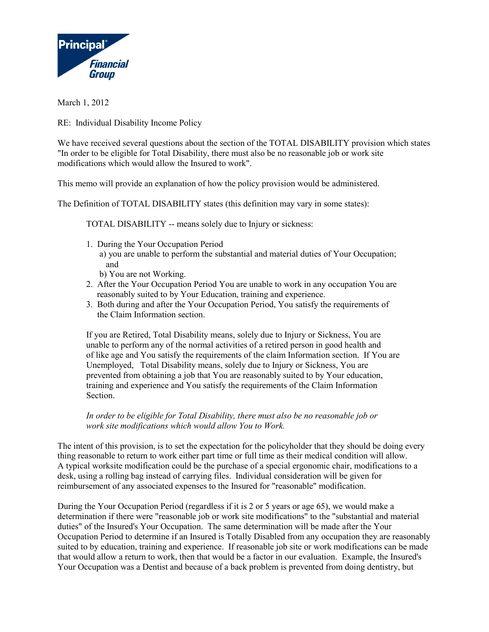

March 1, 2012

RE: Individual Disability Income Policy

We have received several questions about the section of the TOTAL DISABILITY provision which states "In order to be eligible for Total Disability, there must also be no reasonable job or work site modifications which would allow the Insured to work".

This memo will provide an explanation of how the policy provision would be administered.

The Definition of TOTAL DISABILITY states (this definition may vary in some states):

TOTAL DISABILITY -- means solely due to Injury or sickness:

- 1. During the Your Occupation Period
	- a) you are unable to perform the substantial and material duties of Your Occupation; and
		- b) You are not Working.
- 2. After the Your Occupation Period You are unable to work in any occupation You are reasonably suited to by Your Education, training and experience.
- 3. Both during and after the Your Occupation Period, You satisfy the requirements of the Claim Information section.

If you are Retired, Total Disability means, solely due to Injury or Sickness, You are unable to perform any of the normal activities of a retired person in good health and of like age and You satisfy the requirements of the claim Information section. If You are Unemployed, Total Disability means, solely due to Injury or Sickness, You are prevented from obtaining a job that You are reasonably suited to by Your education, training and experience and You satisfy the requirements of the Claim Information Section.

*In order to be eligible for Total Disability, there must also be no reasonable job or work site modifications which would allow You to Work.*

The intent of this provision, is to set the expectation for the policyholder that they should be doing every thing reasonable to return to work either part time or full time as their medical condition will allow. A typical worksite modification could be the purchase of a special ergonomic chair, modifications to a desk, using a rolling bag instead of carrying files. Individual consideration will be given for reimbursement of any associated expenses to the Insured for "reasonable" modification.

During the Your Occupation Period (regardless if it is 2 or 5 years or age 65), we would make a determination if there were "reasonable job or work site modifications" to the "substantial and material duties" of the Insured's Your Occupation. The same determination will be made after the Your Occupation Period to determine if an Insured is Totally Disabled from any occupation they are reasonably suited to by education, training and experience. If reasonable job site or work modifications can be made that would allow a return to work, then that would be a factor in our evaluation. Example, the Insured's Your Occupation was a Dentist and because of a back problem is prevented from doing dentistry, but